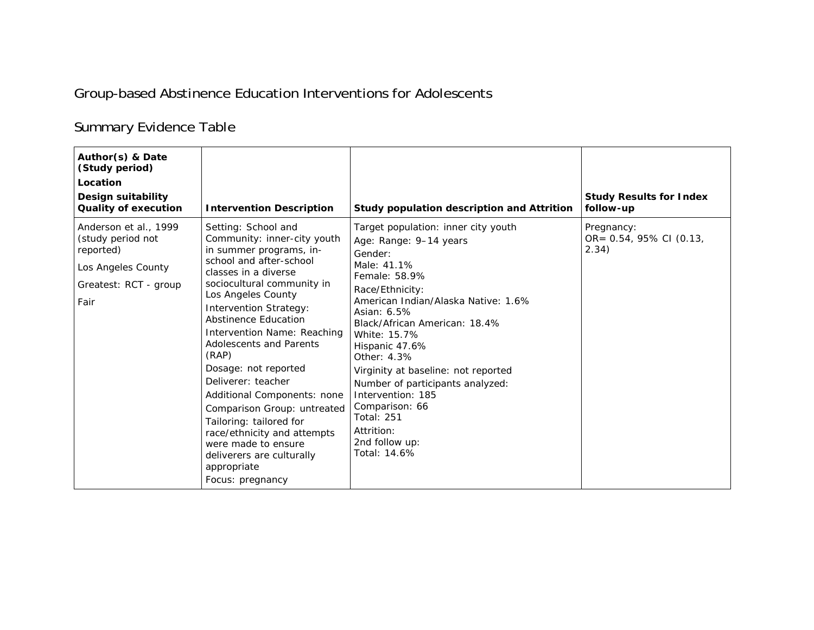## Group-based Abstinence Education Interventions for Adolescents

## Summary Evidence Table

| Author(s) & Date<br>(Study period)<br>Location<br>Design suitability<br><b>Quality of execution</b>            | <b>Intervention Description</b>                                                                                                                                                                                                                                                                                                                                                                                                                                                                                                                                                      | Study population description and Attrition                                                                                                                                                                                                                                                                                                                                                                                                                 | <b>Study Results for Index</b><br>follow-up    |
|----------------------------------------------------------------------------------------------------------------|--------------------------------------------------------------------------------------------------------------------------------------------------------------------------------------------------------------------------------------------------------------------------------------------------------------------------------------------------------------------------------------------------------------------------------------------------------------------------------------------------------------------------------------------------------------------------------------|------------------------------------------------------------------------------------------------------------------------------------------------------------------------------------------------------------------------------------------------------------------------------------------------------------------------------------------------------------------------------------------------------------------------------------------------------------|------------------------------------------------|
| Anderson et al., 1999<br>(study period not<br>reported)<br>Los Angeles County<br>Greatest: RCT - group<br>Fair | Setting: School and<br>Community: inner-city youth<br>in summer programs, in-<br>school and after-school<br>classes in a diverse<br>sociocultural community in<br>Los Angeles County<br><b>Intervention Strategy:</b><br>Abstinence Education<br>Intervention Name: Reaching<br><b>Adolescents and Parents</b><br>(RAP)<br>Dosage: not reported<br>Deliverer: teacher<br>Additional Components: none<br>Comparison Group: untreated<br>Tailoring: tailored for<br>race/ethnicity and attempts<br>were made to ensure<br>deliverers are culturally<br>appropriate<br>Focus: pregnancy | Target population: inner city youth<br>Age: Range: 9-14 years<br>Gender:<br>Male: 41.1%<br>Female: 58.9%<br>Race/Ethnicity:<br>American Indian/Alaska Native: 1.6%<br>Asian: 6.5%<br>Black/African American: 18.4%<br>White: 15.7%<br>Hispanic 47.6%<br>Other: 4.3%<br>Virginity at baseline: not reported<br>Number of participants analyzed:<br>Intervention: 185<br>Comparison: 66<br><b>Total: 251</b><br>Attrition:<br>2nd follow up:<br>Total: 14.6% | Pregnancy:<br>OR= 0.54, 95% CI (0.13,<br>2.34) |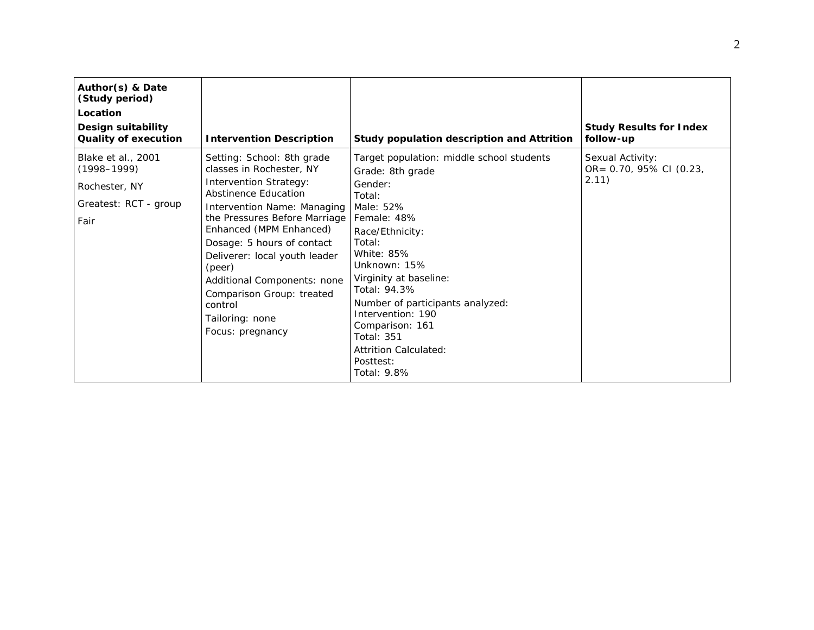| Author(s) & Date<br>(Study period)<br>Location<br><b>Design suitability</b><br><b>Quality of execution</b> | <b>Intervention Description</b>                                                                                                                                                                                                                                                                                                                                                                   | Study population description and Attrition                                                                                                                                                                                                                                                                                                                                | <b>Study Results for Index</b><br>follow-up          |
|------------------------------------------------------------------------------------------------------------|---------------------------------------------------------------------------------------------------------------------------------------------------------------------------------------------------------------------------------------------------------------------------------------------------------------------------------------------------------------------------------------------------|---------------------------------------------------------------------------------------------------------------------------------------------------------------------------------------------------------------------------------------------------------------------------------------------------------------------------------------------------------------------------|------------------------------------------------------|
| Blake et al., 2001<br>$(1998 - 1999)$<br>Rochester, NY<br>Greatest: RCT - group<br>Fair                    | Setting: School: 8th grade<br>classes in Rochester, NY<br><b>Intervention Strategy:</b><br>Abstinence Education<br>Intervention Name: Managing<br>the Pressures Before Marriage<br>Enhanced (MPM Enhanced)<br>Dosage: 5 hours of contact<br>Deliverer: local youth leader<br>(peer)<br>Additional Components: none<br>Comparison Group: treated<br>control<br>Tailoring: none<br>Focus: pregnancy | Target population: middle school students<br>Grade: 8th grade<br>Gender:<br>Total:<br>Male: 52%<br>Female: 48%<br>Race/Ethnicity:<br>Total:<br>White: 85%<br>Unknown: 15%<br>Virginity at baseline:<br>Total: 94.3%<br>Number of participants analyzed:<br>Intervention: 190<br>Comparison: 161<br><b>Total: 351</b><br>Attrition Calculated:<br>Posttest:<br>Total: 9.8% | Sexual Activity:<br>OR= 0.70, 95% CI (0.23,<br>2.11) |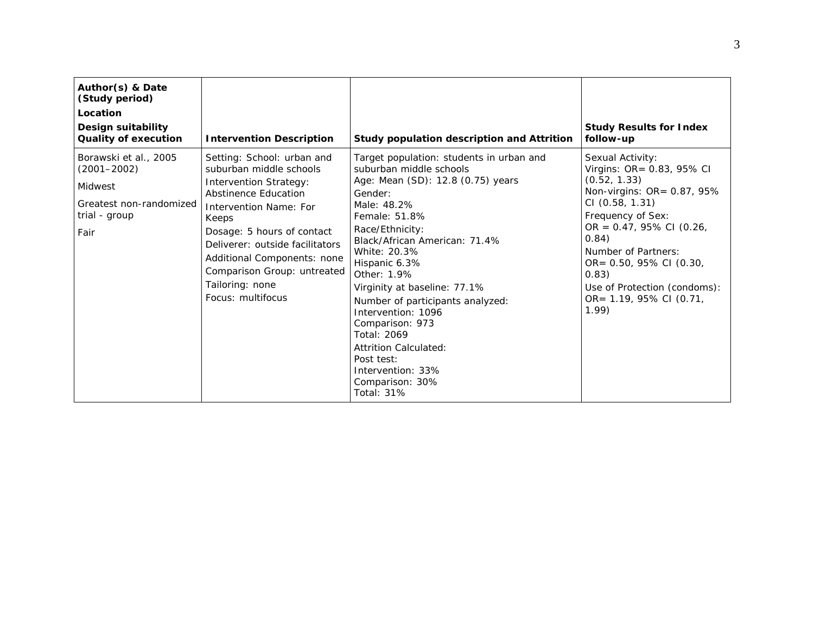| Author(s) & Date<br>(Study period)<br>Location<br>Design suitability<br><b>Quality of execution</b>     | <b>Intervention Description</b>                                                                                                                                                                                                                                                                                                               | Study population description and Attrition                                                                                                                                                                                                                                                                                                                                                                                                                                              | <b>Study Results for Index</b><br>follow-up                                                                                                                                                                                                                                                              |
|---------------------------------------------------------------------------------------------------------|-----------------------------------------------------------------------------------------------------------------------------------------------------------------------------------------------------------------------------------------------------------------------------------------------------------------------------------------------|-----------------------------------------------------------------------------------------------------------------------------------------------------------------------------------------------------------------------------------------------------------------------------------------------------------------------------------------------------------------------------------------------------------------------------------------------------------------------------------------|----------------------------------------------------------------------------------------------------------------------------------------------------------------------------------------------------------------------------------------------------------------------------------------------------------|
| Borawski et al., 2005<br>$(2001 - 2002)$<br>Midwest<br>Greatest non-randomized<br>trial - group<br>Fair | Setting: School: urban and<br>suburban middle schools<br><b>Intervention Strategy:</b><br><b>Abstinence Education</b><br><i>Intervention Name: For</i><br>Keeps<br>Dosage: 5 hours of contact<br>Deliverer: outside facilitators<br>Additional Components: none<br>Comparison Group: untreated<br>Tailoring: none<br><i>Focus:</i> multifocus | Target population: students in urban and<br>suburban middle schools<br>Age: Mean (SD): 12.8 (0.75) years<br>Gender:<br>Male: 48.2%<br>Female: 51.8%<br>Race/Ethnicity:<br>Black/African American: 71.4%<br>White: 20.3%<br>Hispanic 6.3%<br>Other: 1.9%<br>Virginity at baseline: 77.1%<br>Number of participants analyzed:<br>Intervention: 1096<br>Comparison: 973<br>Total: 2069<br>Attrition Calculated:<br>Post test:<br>Intervention: 33%<br>Comparison: 30%<br><b>Total: 31%</b> | Sexual Activity:<br>Virgins: OR= 0.83, 95% CI<br>(0.52, 1.33)<br>Non-virgins: OR= 0.87, 95%<br>CI(0.58, 1.31)<br>Frequency of Sex:<br>OR = $0.47$ , 95% CI (0.26,<br>0.84)<br>Number of Partners:<br>OR= 0.50, 95% CI (0.30,<br>0.83)<br>Use of Protection (condoms):<br>OR= 1.19, 95% CI (0.71,<br>1.99 |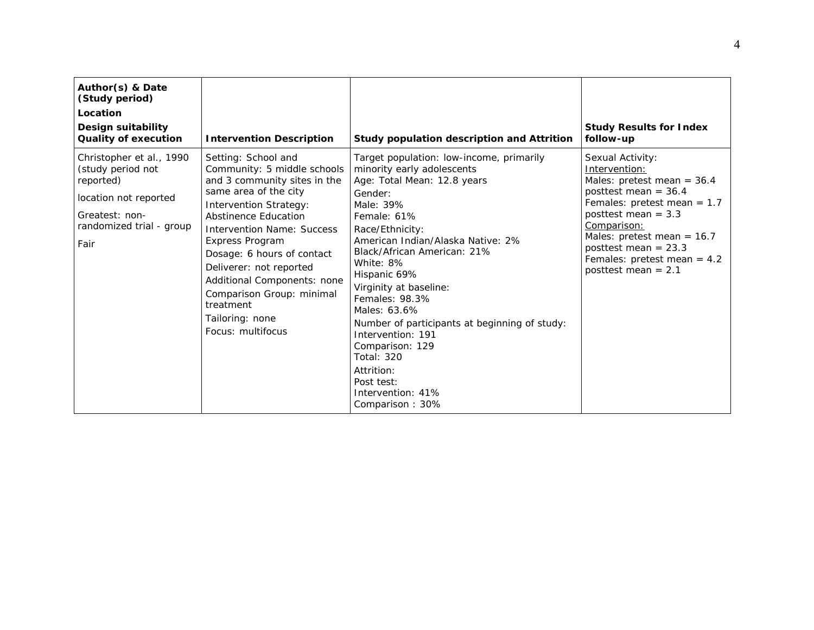| Author(s) & Date<br>(Study period)<br>Location<br>Design suitability<br><b>Quality of execution</b>                                       | <b>Intervention Description</b>                                                                                                                                                                                                                                                                                                                                                                        | Study population description and Attrition                                                                                                                                                                                                                                                                                                                                                                                                                                                                     | <b>Study Results for Index</b><br>follow-up                                                                                                                                                                                                                                              |
|-------------------------------------------------------------------------------------------------------------------------------------------|--------------------------------------------------------------------------------------------------------------------------------------------------------------------------------------------------------------------------------------------------------------------------------------------------------------------------------------------------------------------------------------------------------|----------------------------------------------------------------------------------------------------------------------------------------------------------------------------------------------------------------------------------------------------------------------------------------------------------------------------------------------------------------------------------------------------------------------------------------------------------------------------------------------------------------|------------------------------------------------------------------------------------------------------------------------------------------------------------------------------------------------------------------------------------------------------------------------------------------|
| Christopher et al., 1990<br>(study period not<br>reported)<br>location not reported<br>Greatest: non-<br>randomized trial - group<br>Fair | Setting: School and<br>Community: 5 middle schools<br>and 3 community sites in the<br>same area of the city<br><b>Intervention Strategy:</b><br>Abstinence Education<br>Intervention Name: Success<br><b>Express Program</b><br>Dosage: 6 hours of contact<br>Deliverer: not reported<br>Additional Components: none<br>Comparison Group: minimal<br>treatment<br>Tailoring: none<br>Focus: multifocus | Target population: low-income, primarily<br>minority early adolescents<br>Age: Total Mean: 12.8 years<br>Gender:<br>Male: 39%<br>Female: 61%<br>Race/Ethnicity:<br>American Indian/Alaska Native: 2%<br>Black/African American: 21%<br>White: 8%<br>Hispanic 69%<br>Virginity at baseline:<br>Females: 98.3%<br>Males: 63.6%<br>Number of participants at beginning of study:<br>Intervention: 191<br>Comparison: 129<br><b>Total: 320</b><br>Attrition:<br>Post test:<br>Intervention: 41%<br>Comparison: 30% | Sexual Activity:<br>Intervention:<br>Males: pretest mean = $36.4$<br>posttest mean = $36.4$<br>Females: pretest mean = $1.7$<br>posttest mean = $3.3$<br>Comparison:<br>Males: pretest mean = $16.7$<br>posttest mean = $23.3$<br>Females: pretest mean = $4.2$<br>posttest mean $= 2.1$ |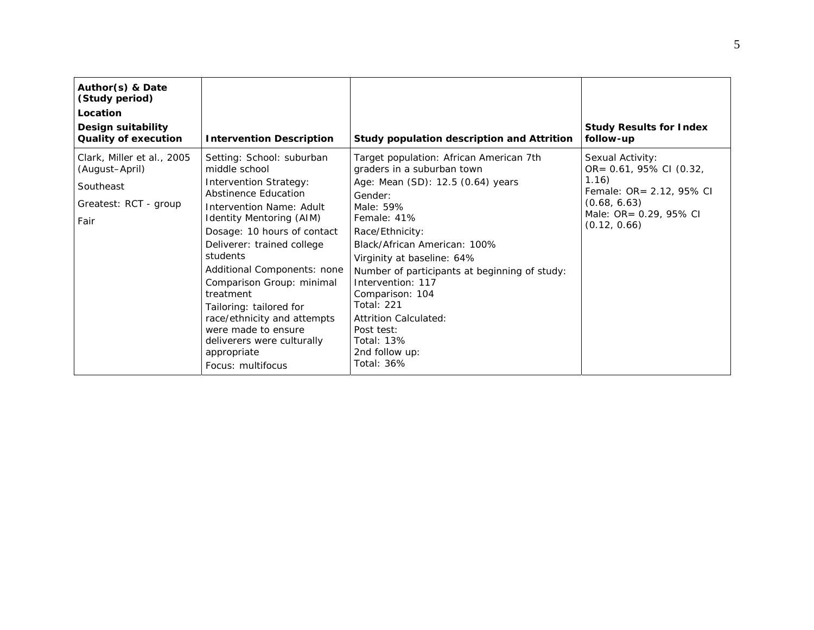| Author(s) & Date<br>(Study period)<br>Location<br>Design suitability<br><b>Quality of execution</b> | <b>Intervention Description</b>                                                                                                                                                                                                                                                                                                                                                                                                                                                | Study population description and Attrition                                                                                                                                                                                                                                                                                                                                                                                                   | <b>Study Results for Index</b><br>follow-up                                                                                                |
|-----------------------------------------------------------------------------------------------------|--------------------------------------------------------------------------------------------------------------------------------------------------------------------------------------------------------------------------------------------------------------------------------------------------------------------------------------------------------------------------------------------------------------------------------------------------------------------------------|----------------------------------------------------------------------------------------------------------------------------------------------------------------------------------------------------------------------------------------------------------------------------------------------------------------------------------------------------------------------------------------------------------------------------------------------|--------------------------------------------------------------------------------------------------------------------------------------------|
| Clark, Miller et al., 2005<br>(August-April)<br>Southeast<br>Greatest: RCT - group<br>Fair          | Setting: School: suburban<br>middle school<br><b>Intervention Strategy:</b><br>Abstinence Education<br><i>Intervention Name: Adult</i><br><b>Identity Mentoring (AIM)</b><br>Dosage: 10 hours of contact<br>Deliverer: trained college<br>students<br>Additional Components: none<br>Comparison Group: minimal<br>treatment<br>Tailoring: tailored for<br>race/ethnicity and attempts<br>were made to ensure<br>deliverers were culturally<br>appropriate<br>Focus: multifocus | Target population: African American 7th<br>graders in a suburban town<br>Age: Mean (SD): 12.5 (0.64) years<br>Gender:<br>Male: 59%<br>Female: 41%<br>Race/Ethnicity:<br>Black/African American: 100%<br>Virginity at baseline: 64%<br>Number of participants at beginning of study:<br>Intervention: 117<br>Comparison: 104<br><b>Total: 221</b><br>Attrition Calculated:<br>Post test:<br><b>Total: 13%</b><br>2nd follow up:<br>Total: 36% | Sexual Activity:<br>OR= 0.61, 95% CI (0.32,<br>1.16)<br>Female: OR= 2.12, 95% CI<br>(0.68, 6.63)<br>Male: OR= 0.29, 95% CI<br>(0.12, 0.66) |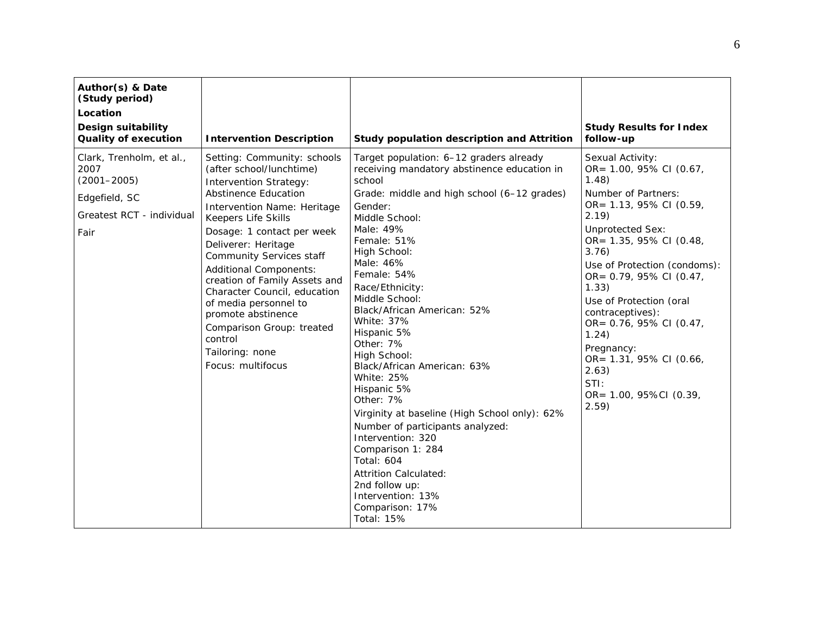| Author(s) & Date<br>(Study period)<br>Location<br><b>Design suitability</b><br><b>Quality of execution</b> | <b>Intervention Description</b>                                                                                                                                                                                                                                                                                                                                                                                                                                                                 | Study population description and Attrition                                                                                                                                                                                                                                                                                                                                                                                                                                                                                                                                                                                                                                                                                     | <b>Study Results for Index</b><br>follow-up                                                                                                                                                                                                                                                                                                                                                                                       |
|------------------------------------------------------------------------------------------------------------|-------------------------------------------------------------------------------------------------------------------------------------------------------------------------------------------------------------------------------------------------------------------------------------------------------------------------------------------------------------------------------------------------------------------------------------------------------------------------------------------------|--------------------------------------------------------------------------------------------------------------------------------------------------------------------------------------------------------------------------------------------------------------------------------------------------------------------------------------------------------------------------------------------------------------------------------------------------------------------------------------------------------------------------------------------------------------------------------------------------------------------------------------------------------------------------------------------------------------------------------|-----------------------------------------------------------------------------------------------------------------------------------------------------------------------------------------------------------------------------------------------------------------------------------------------------------------------------------------------------------------------------------------------------------------------------------|
| Clark, Trenholm, et al.,<br>2007<br>$(2001 - 2005)$<br>Edgefield, SC<br>Greatest RCT - individual<br>Fair  | Setting: Community: schools<br>(after school/lunchtime)<br>Intervention Strategy:<br><b>Abstinence Education</b><br>Intervention Name: Heritage<br>Keepers Life Skills<br>Dosage: 1 contact per week<br>Deliverer: Heritage<br><b>Community Services staff</b><br><b>Additional Components:</b><br>creation of Family Assets and<br>Character Council, education<br>of media personnel to<br>promote abstinence<br>Comparison Group: treated<br>control<br>Tailoring: none<br>Focus: multifocus | Target population: 6-12 graders already<br>receiving mandatory abstinence education in<br>school<br>Grade: middle and high school (6-12 grades)<br>Gender:<br>Middle School:<br>Male: 49%<br>Female: 51%<br>High School:<br>Male: 46%<br>Female: 54%<br>Race/Ethnicity:<br>Middle School:<br>Black/African American: 52%<br>White: 37%<br>Hispanic 5%<br>Other: 7%<br>High School:<br>Black/African American: 63%<br><b>White: 25%</b><br>Hispanic 5%<br>Other: 7%<br>Virginity at baseline (High School only): 62%<br>Number of participants analyzed:<br>Intervention: 320<br>Comparison 1: 284<br><b>Total: 604</b><br>Attrition Calculated:<br>2nd follow up:<br>Intervention: 13%<br>Comparison: 17%<br><b>Total: 15%</b> | Sexual Activity:<br>OR= 1.00, 95% CI (0.67,<br>1.48)<br>Number of Partners:<br>OR= 1.13, 95% CI (0.59,<br>2.19<br><b>Unprotected Sex:</b><br>OR= 1.35, 95% CI (0.48,<br>3.76)<br>Use of Protection (condoms):<br>OR= 0.79, 95% CI (0.47,<br>1.33)<br>Use of Protection (oral<br>contraceptives):<br>OR= 0.76, 95% CI (0.47,<br>1.24)<br>Pregnancy:<br>OR= 1.31, 95% CI (0.66,<br>2.63)<br>STI:<br>OR= 1.00, 95%CI (0.39,<br>2.59) |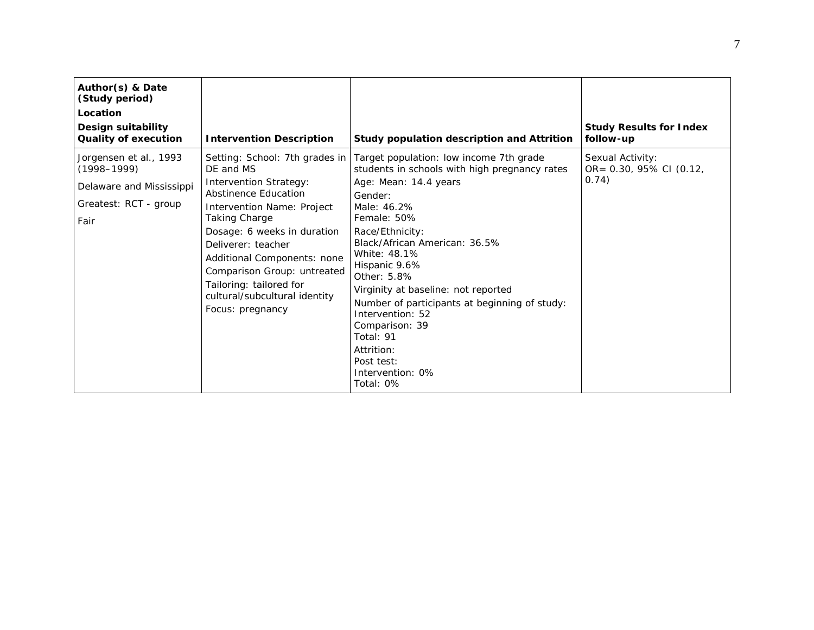| Author(s) & Date<br>(Study period)<br>Location<br>Design suitability<br><b>Quality of execution</b>    | <b>Intervention Description</b>                                                                                                                                                                                                                                                                                                                        | Study population description and Attrition                                                                                                                                                                                                                                                                                                                                                                                                                             | <b>Study Results for Index</b><br>follow-up          |
|--------------------------------------------------------------------------------------------------------|--------------------------------------------------------------------------------------------------------------------------------------------------------------------------------------------------------------------------------------------------------------------------------------------------------------------------------------------------------|------------------------------------------------------------------------------------------------------------------------------------------------------------------------------------------------------------------------------------------------------------------------------------------------------------------------------------------------------------------------------------------------------------------------------------------------------------------------|------------------------------------------------------|
| Jorgensen et al., 1993<br>$(1998 - 1999)$<br>Delaware and Mississippi<br>Greatest: RCT - group<br>Fair | Setting: School: 7th grades in<br>DE and MS<br><b>Intervention Strategy:</b><br>Abstinence Education<br>Intervention Name: Project<br>Taking Charge<br>Dosage: 6 weeks in duration<br>Deliverer: teacher<br>Additional Components: none<br>Comparison Group: untreated<br>Tailoring: tailored for<br>cultural/subcultural identity<br>Focus: pregnancy | Target population: low income 7th grade<br>students in schools with high pregnancy rates<br>Age: Mean: 14.4 years<br>Gender:<br>Male: 46.2%<br>Female: 50%<br>Race/Ethnicity:<br>Black/African American: 36.5%<br>White: 48.1%<br>Hispanic 9.6%<br>Other: 5.8%<br>Virginity at baseline: not reported<br>Number of participants at beginning of study:<br>Intervention: 52<br>Comparison: 39<br>Total: 91<br>Attrition:<br>Post test:<br>Intervention: 0%<br>Total: 0% | Sexual Activity:<br>OR= 0.30, 95% CI (0.12,<br>0.74) |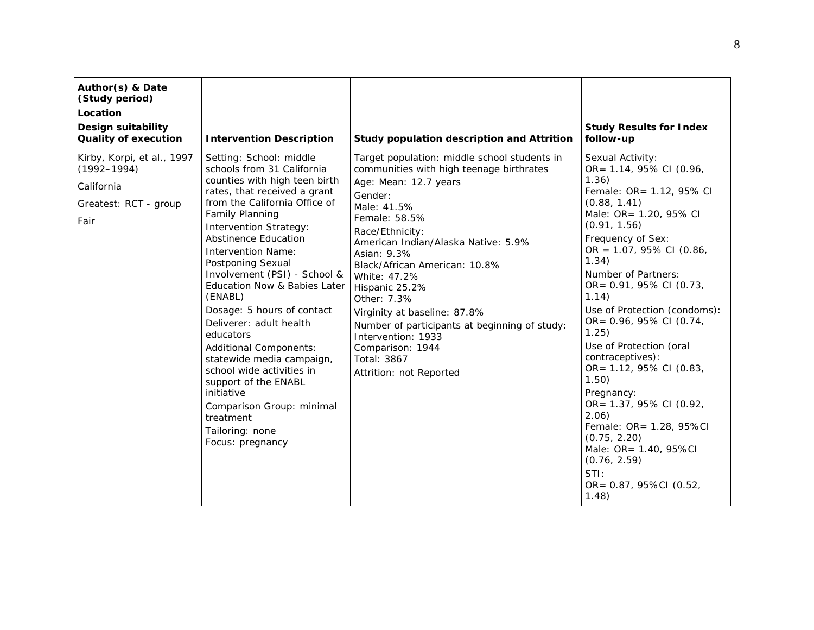| Author(s) & Date<br>(Study period)<br>Location<br><b>Design suitability</b><br><b>Quality of execution</b> | <b>Intervention Description</b>                                                                                                                                                                                                                                                                                                                                                                                                                                                                                                                                                                                                                          | Study population description and Attrition                                                                                                                                                                                                                                                                                                                                                                                                                                                   | <b>Study Results for Index</b><br>follow-up                                                                                                                                                                                                                                                                                                                                                                                                                                                                                                                                                                |
|------------------------------------------------------------------------------------------------------------|----------------------------------------------------------------------------------------------------------------------------------------------------------------------------------------------------------------------------------------------------------------------------------------------------------------------------------------------------------------------------------------------------------------------------------------------------------------------------------------------------------------------------------------------------------------------------------------------------------------------------------------------------------|----------------------------------------------------------------------------------------------------------------------------------------------------------------------------------------------------------------------------------------------------------------------------------------------------------------------------------------------------------------------------------------------------------------------------------------------------------------------------------------------|------------------------------------------------------------------------------------------------------------------------------------------------------------------------------------------------------------------------------------------------------------------------------------------------------------------------------------------------------------------------------------------------------------------------------------------------------------------------------------------------------------------------------------------------------------------------------------------------------------|
| Kirby, Korpi, et al., 1997<br>$(1992 - 1994)$<br>California<br>Greatest: RCT - group<br>Fair               | Setting: School: middle<br>schools from 31 California<br>counties with high teen birth<br>rates, that received a grant<br>from the California Office of<br>Family Planning<br><b>Intervention Strategy:</b><br><b>Abstinence Education</b><br><b>Intervention Name:</b><br>Postponing Sexual<br>Involvement (PSI) - School &<br>Education Now & Babies Later<br>(ENABL)<br>Dosage: 5 hours of contact<br>Deliverer: adult health<br>educators<br>Additional Components:<br>statewide media campaign,<br>school wide activities in<br>support of the ENABL<br>initiative<br>Comparison Group: minimal<br>treatment<br>Tailoring: none<br>Focus: pregnancy | Target population: middle school students in<br>communities with high teenage birthrates<br>Age: Mean: 12.7 years<br>Gender:<br>Male: 41.5%<br>Female: 58.5%<br>Race/Ethnicity:<br>American Indian/Alaska Native: 5.9%<br>Asian: 9.3%<br>Black/African American: 10.8%<br>White: 47.2%<br>Hispanic 25.2%<br>Other: 7.3%<br>Virginity at baseline: 87.8%<br>Number of participants at beginning of study:<br>Intervention: 1933<br>Comparison: 1944<br>Total: 3867<br>Attrition: not Reported | Sexual Activity:<br>OR= 1.14, 95% CI (0.96,<br>1.36)<br>Female: OR= 1.12, 95% CI<br>(0.88, 1.41)<br>Male: OR= 1.20, 95% CI<br>(0.91, 1.56)<br>Frequency of Sex:<br>OR = $1.07$ , 95% CI (0.86,<br>1.34)<br>Number of Partners:<br>OR= 0.91, 95% CI (0.73,<br>1.14)<br>Use of Protection (condoms):<br>OR= 0.96, 95% CI (0.74,<br>1.25)<br>Use of Protection (oral<br>contraceptives):<br>OR= 1.12, 95% CI (0.83,<br>1.50)<br>Pregnancy:<br>OR= 1.37, 95% CI (0.92,<br>2.06)<br>Female: OR= 1.28, 95%CI<br>(0.75, 2.20)<br>Male: OR= 1.40, 95%CI<br>(0.76, 2.59)<br>STI:<br>OR= 0.87, 95%CI (0.52,<br>1.48) |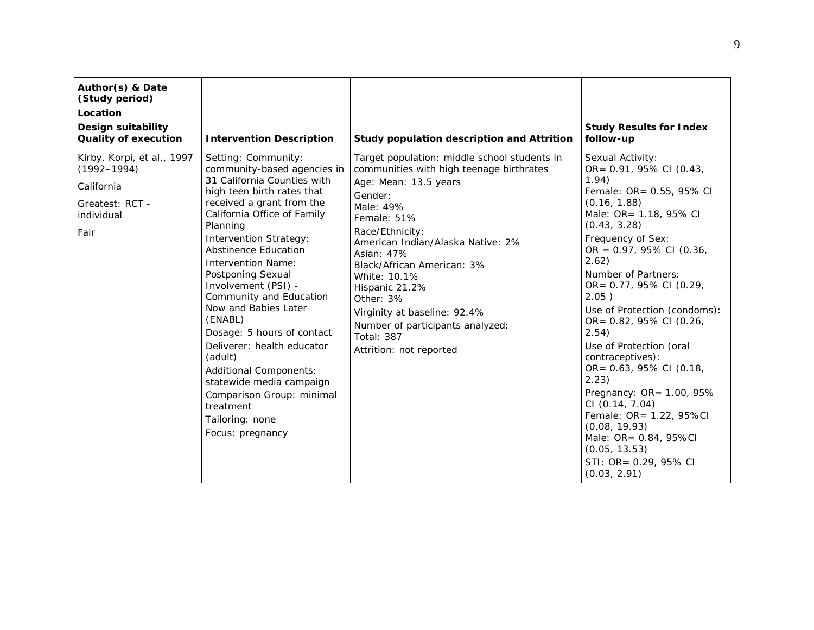| Author(s) & Date<br>(Study period)<br>Location<br>Design suitability<br><b>Quality of execution</b>  | <b>Intervention Description</b>                                                                                                                                                                                                                                                                                                                                                                                                                                                                                                                                                                              | Study population description and Attrition                                                                                                                                                                                                                                                                                                                                                                                      | <b>Study Results for Index</b><br>follow-up                                                                                                                                                                                                                                                                                                                                                                                                                                                                                                                                                                |
|------------------------------------------------------------------------------------------------------|--------------------------------------------------------------------------------------------------------------------------------------------------------------------------------------------------------------------------------------------------------------------------------------------------------------------------------------------------------------------------------------------------------------------------------------------------------------------------------------------------------------------------------------------------------------------------------------------------------------|---------------------------------------------------------------------------------------------------------------------------------------------------------------------------------------------------------------------------------------------------------------------------------------------------------------------------------------------------------------------------------------------------------------------------------|------------------------------------------------------------------------------------------------------------------------------------------------------------------------------------------------------------------------------------------------------------------------------------------------------------------------------------------------------------------------------------------------------------------------------------------------------------------------------------------------------------------------------------------------------------------------------------------------------------|
| Kirby, Korpi, et al., 1997<br>$(1992 - 1994)$<br>California<br>Greatest: RCT -<br>individual<br>Fair | Setting: Community:<br>community-based agencies in<br>31 California Counties with<br>high teen birth rates that<br>received a grant from the<br>California Office of Family<br>Planning<br><b>Intervention Strategy:</b><br><b>Abstinence Education</b><br><b>Intervention Name:</b><br>Postponing Sexual<br>Involvement (PSI) -<br>Community and Education<br>Now and Babies Later<br>(ENABL)<br>Dosage: 5 hours of contact<br>Deliverer: health educator<br>(adult)<br>Additional Components:<br>statewide media campaign<br>Comparison Group: minimal<br>treatment<br>Tailoring: none<br>Focus: pregnancy | Target population: middle school students in<br>communities with high teenage birthrates<br>Age: Mean: 13.5 years<br>Gender:<br>Male: 49%<br>Female: 51%<br>Race/Ethnicity:<br>American Indian/Alaska Native: 2%<br>Asian: 47%<br>Black/African American: 3%<br>White: 10.1%<br>Hispanic 21.2%<br>Other: 3%<br>Virginity at baseline: 92.4%<br>Number of participants analyzed:<br><b>Total: 387</b><br>Attrition: not reported | Sexual Activity:<br>OR= 0.91, 95% CI (0.43,<br>1.94)<br>Female: OR= 0.55, 95% CI<br>(0.16, 1.88)<br>Male: OR= 1.18, 95% CI<br>(0.43, 3.28)<br>Frequency of Sex:<br>OR = $0.97$ , $95\%$ CI (0.36,<br>2.62)<br>Number of Partners:<br>OR= 0.77, 95% CI (0.29,<br>2.05)<br>Use of Protection (condoms):<br>OR= 0.82, 95% CI (0.26,<br>2.54)<br>Use of Protection (oral<br>contraceptives):<br>OR= 0.63, 95% CI (0.18,<br>2.23)<br>Pregnancy: OR= 1.00, 95%<br>CI (0.14, 7.04)<br>Female: OR= 1.22, 95%Cl<br>(0.08, 19.93)<br>Male: OR= 0.84, 95%CI<br>(0.05, 13.53)<br>STI: OR= 0.29, 95% CI<br>(0.03, 2.91) |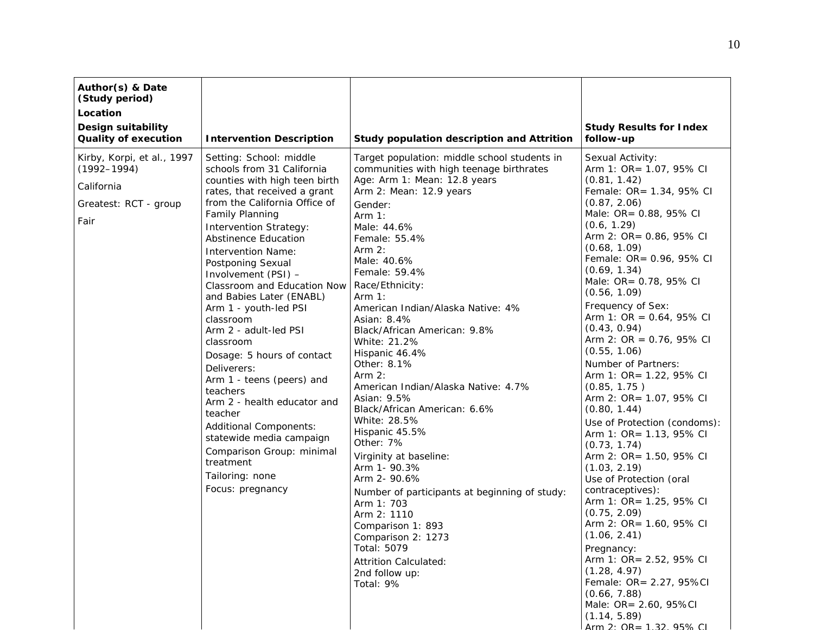| Author(s) & Date<br>(Study period)<br>Location<br>Design suitability<br><b>Quality of execution</b> | <b>Intervention Description</b>                                                                                                                                                                                                                                                                                                                                                                                                                                                                                                                                                                                                                                                                                                   | Study population description and Attrition                                                                                                                                                                                                                                                                                                                                                                                                                                                                                                                                                                                                                                                                                                                                                                                            | <b>Study Results for Index</b><br>follow-up                                                                                                                                                                                                                                                                                                                                                                                                                                                                                                                                                                                                                                                                                                                                                                                                                                                                                                                                               |
|-----------------------------------------------------------------------------------------------------|-----------------------------------------------------------------------------------------------------------------------------------------------------------------------------------------------------------------------------------------------------------------------------------------------------------------------------------------------------------------------------------------------------------------------------------------------------------------------------------------------------------------------------------------------------------------------------------------------------------------------------------------------------------------------------------------------------------------------------------|---------------------------------------------------------------------------------------------------------------------------------------------------------------------------------------------------------------------------------------------------------------------------------------------------------------------------------------------------------------------------------------------------------------------------------------------------------------------------------------------------------------------------------------------------------------------------------------------------------------------------------------------------------------------------------------------------------------------------------------------------------------------------------------------------------------------------------------|-------------------------------------------------------------------------------------------------------------------------------------------------------------------------------------------------------------------------------------------------------------------------------------------------------------------------------------------------------------------------------------------------------------------------------------------------------------------------------------------------------------------------------------------------------------------------------------------------------------------------------------------------------------------------------------------------------------------------------------------------------------------------------------------------------------------------------------------------------------------------------------------------------------------------------------------------------------------------------------------|
| Kirby, Korpi, et al., 1997<br>$(1992 - 1994)$<br>California<br>Greatest: RCT - group<br>Fair        | Setting: School: middle<br>schools from 31 California<br>counties with high teen birth<br>rates, that received a grant<br>from the California Office of<br>Family Planning<br><b>Intervention Strategy:</b><br><b>Abstinence Education</b><br><b>Intervention Name:</b><br>Postponing Sexual<br>Involvement (PSI) -<br>Classroom and Education Now<br>and Babies Later (ENABL)<br>Arm 1 - youth-led PSI<br>classroom<br>Arm 2 - adult-led PSI<br>classroom<br>Dosage: 5 hours of contact<br>Deliverers:<br>Arm 1 - teens (peers) and<br>teachers<br>Arm 2 - health educator and<br>teacher<br>Additional Components:<br>statewide media campaign<br>Comparison Group: minimal<br>treatment<br>Tailoring: none<br>Focus: pregnancy | Target population: middle school students in<br>communities with high teenage birthrates<br>Age: Arm 1: Mean: 12.8 years<br>Arm 2: Mean: 12.9 years<br>Gender:<br>Arm $1:$<br>Male: 44.6%<br>Female: 55.4%<br>Arm $2:$<br>Male: 40.6%<br>Female: 59.4%<br>Race/Ethnicity:<br>Arm $1:$<br>American Indian/Alaska Native: 4%<br>Asian: 8.4%<br>Black/African American: 9.8%<br>White: 21.2%<br>Hispanic 46.4%<br>Other: 8.1%<br>Arm $2:$<br>American Indian/Alaska Native: 4.7%<br>Asian: 9.5%<br>Black/African American: 6.6%<br>White: 28.5%<br>Hispanic 45.5%<br>Other: 7%<br>Virginity at baseline:<br>Arm 1- 90.3%<br>Arm 2- 90.6%<br>Number of participants at beginning of study:<br>Arm 1: 703<br>Arm 2: 1110<br>Comparison 1: 893<br>Comparison 2: 1273<br>Total: 5079<br>Attrition Calculated:<br>2nd follow up:<br>Total: 9% | Sexual Activity:<br>Arm 1: OR= 1.07, 95% CI<br>(0.81, 1.42)<br>Female: OR= 1.34, 95% CI<br>(0.87, 2.06)<br>Male: OR= 0.88, 95% CI<br>(0.6, 1.29)<br>Arm 2: OR= 0.86, 95% CI<br>(0.68, 1.09)<br>Female: OR= 0.96, 95% CI<br>(0.69, 1.34)<br>Male: OR= 0.78, 95% CI<br>(0.56, 1.09)<br>Frequency of Sex:<br>Arm 1: OR = $0.64$ , 95% CI<br>(0.43, 0.94)<br>Arm 2: OR = $0.76$ , 95% CI<br>(0.55, 1.06)<br>Number of Partners:<br>Arm 1: OR= 1.22, 95% CI<br>(0.85, 1.75)<br>Arm 2: OR= 1.07, 95% CI<br>(0.80, 1.44)<br>Use of Protection (condoms):<br>Arm 1: OR= 1.13, 95% CI<br>(0.73, 1.74)<br>Arm 2: OR= 1.50, 95% CI<br>(1.03, 2.19)<br>Use of Protection (oral<br>contraceptives):<br>Arm 1: OR= 1.25, 95% CI<br>(0.75, 2.09)<br>Arm 2: OR= 1.60, 95% CI<br>(1.06, 2.41)<br>Pregnancy:<br>Arm 1: OR= 2.52, 95% CI<br>(1.28, 4.97)<br>Female: OR= 2.27, 95%Cl<br>(0.66, 7.88)<br>Male: OR= 2.60, 95%CI<br>(1.14, 5.89)<br>$\Lambda$ rm $2:$ $\Omega$ D $-$ 1 22 $\Omega$ 5% $\Omega$ I |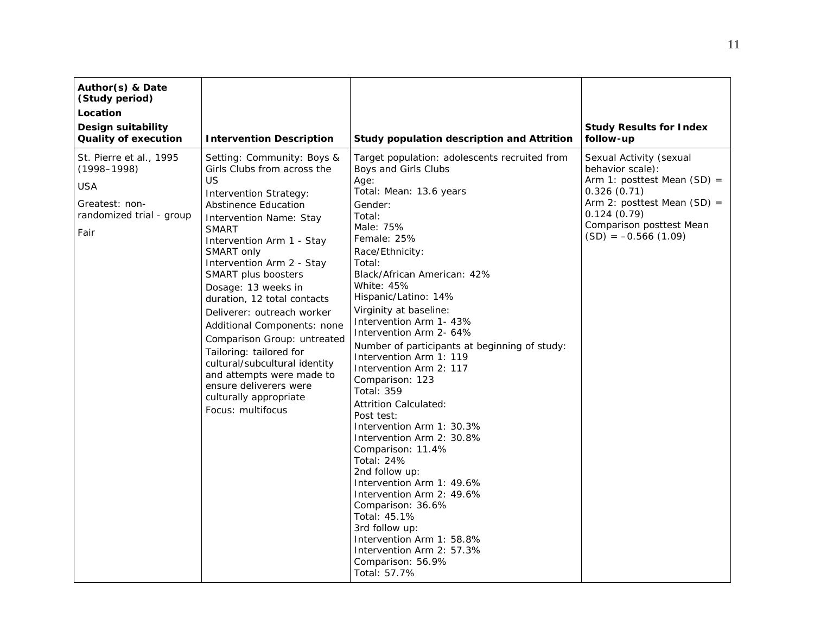| Author(s) & Date<br>(Study period)<br>Location<br><b>Design suitability</b><br><b>Quality of execution</b>     | <b>Intervention Description</b>                                                                                                                                                                                                                                                                                                                                                                                                                                                                                                                                                         | Study population description and Attrition                                                                                                                                                                                                                                                                                                                                                                                                                                                                                                                                                                                                                                                                                                                                                                                                                             | <b>Study Results for Index</b><br>follow-up                                                                                                                                                      |
|----------------------------------------------------------------------------------------------------------------|-----------------------------------------------------------------------------------------------------------------------------------------------------------------------------------------------------------------------------------------------------------------------------------------------------------------------------------------------------------------------------------------------------------------------------------------------------------------------------------------------------------------------------------------------------------------------------------------|------------------------------------------------------------------------------------------------------------------------------------------------------------------------------------------------------------------------------------------------------------------------------------------------------------------------------------------------------------------------------------------------------------------------------------------------------------------------------------------------------------------------------------------------------------------------------------------------------------------------------------------------------------------------------------------------------------------------------------------------------------------------------------------------------------------------------------------------------------------------|--------------------------------------------------------------------------------------------------------------------------------------------------------------------------------------------------|
| St. Pierre et al., 1995<br>$(1998 - 1998)$<br><b>USA</b><br>Greatest: non-<br>randomized trial - group<br>Fair | Setting: Community: Boys &<br>Girls Clubs from across the<br>US.<br><b>Intervention Strategy:</b><br>Abstinence Education<br>Intervention Name: Stay<br><b>SMART</b><br>Intervention Arm 1 - Stay<br>SMART only<br>Intervention Arm 2 - Stay<br>SMART plus boosters<br>Dosage: 13 weeks in<br>duration, 12 total contacts<br>Deliverer: outreach worker<br>Additional Components: none<br>Comparison Group: untreated<br>Tailoring: tailored for<br>cultural/subcultural identity<br>and attempts were made to<br>ensure deliverers were<br>culturally appropriate<br>Focus: multifocus | Target population: adolescents recruited from<br>Boys and Girls Clubs<br>Age:<br>Total: Mean: 13.6 years<br>Gender:<br>Total:<br>Male: 75%<br>Female: 25%<br>Race/Ethnicity:<br>Total:<br>Black/African American: 42%<br>White: 45%<br>Hispanic/Latino: 14%<br>Virginity at baseline:<br>Intervention Arm 1- 43%<br>Intervention Arm 2-64%<br>Number of participants at beginning of study:<br>Intervention Arm 1: 119<br>Intervention Arm 2: 117<br>Comparison: 123<br><b>Total: 359</b><br><b>Attrition Calculated:</b><br>Post test:<br>Intervention Arm 1: 30.3%<br>Intervention Arm 2: 30.8%<br>Comparison: 11.4%<br>Total: 24%<br>2nd follow up:<br>Intervention Arm 1: 49.6%<br>Intervention Arm 2: 49.6%<br>Comparison: 36.6%<br>Total: 45.1%<br>3rd follow up:<br>Intervention Arm 1: 58.8%<br>Intervention Arm 2: 57.3%<br>Comparison: 56.9%<br>Total: 57.7% | Sexual Activity (sexual<br>behavior scale):<br>Arm 1: posttest Mean $(SD) =$<br>0.326(0.71)<br>Arm 2: posttest Mean $(SD) =$<br>0.124(0.79)<br>Comparison posttest Mean<br>$(SD) = -0.566(1.09)$ |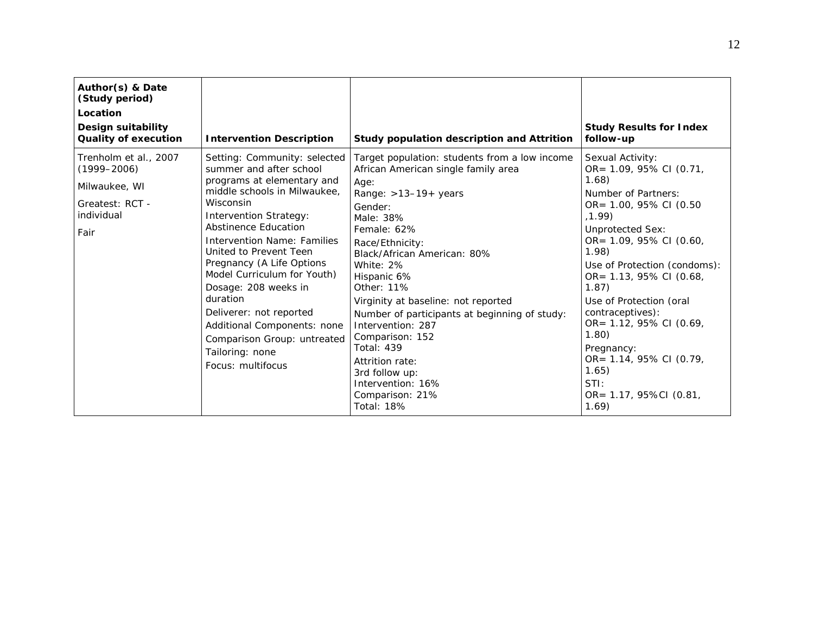| Author(s) & Date<br>(Study period)<br>Location<br>Design suitability<br><b>Quality of execution</b> | <b>Intervention Description</b>                                                                                                                                                                                                                                                                                                                                                                                                                                                                     | Study population description and Attrition                                                                                                                                                                                                                                                                                                                                                                                                                                                                       | <b>Study Results for Index</b><br>follow-up                                                                                                                                                                                                                                                                                                                                                                                         |
|-----------------------------------------------------------------------------------------------------|-----------------------------------------------------------------------------------------------------------------------------------------------------------------------------------------------------------------------------------------------------------------------------------------------------------------------------------------------------------------------------------------------------------------------------------------------------------------------------------------------------|------------------------------------------------------------------------------------------------------------------------------------------------------------------------------------------------------------------------------------------------------------------------------------------------------------------------------------------------------------------------------------------------------------------------------------------------------------------------------------------------------------------|-------------------------------------------------------------------------------------------------------------------------------------------------------------------------------------------------------------------------------------------------------------------------------------------------------------------------------------------------------------------------------------------------------------------------------------|
| Trenholm et al., 2007<br>$(1999 - 2006)$<br>Milwaukee, WI<br>Greatest: RCT -<br>individual<br>Fair  | Setting: Community: selected<br>summer and after school<br>programs at elementary and<br>middle schools in Milwaukee,<br>Wisconsin<br><b>Intervention Strategy:</b><br><b>Abstinence Education</b><br><b>Intervention Name: Families</b><br>United to Prevent Teen<br>Pregnancy (A Life Options<br>Model Curriculum for Youth)<br>Dosage: 208 weeks in<br>duration<br>Deliverer: not reported<br>Additional Components: none<br>Comparison Group: untreated<br>Tailoring: none<br>Focus: multifocus | Target population: students from a low income<br>African American single family area<br>Age:<br>Range: $>13-19+$ years<br>Gender:<br>Male: 38%<br>Female: 62%<br>Race/Ethnicity:<br>Black/African American: 80%<br>White: 2%<br>Hispanic 6%<br>Other: 11%<br>Virginity at baseline: not reported<br>Number of participants at beginning of study:<br>Intervention: 287<br>Comparison: 152<br><b>Total: 439</b><br>Attrition rate:<br>3rd follow up:<br>Intervention: 16%<br>Comparison: 21%<br><b>Total: 18%</b> | Sexual Activity:<br>OR= 1.09, 95% CI (0.71,<br>1.68<br>Number of Partners:<br>OR= 1.00, 95% CI (0.50<br>, 1.99)<br><b>Unprotected Sex:</b><br>OR= 1.09, 95% CI (0.60,<br>1.98<br>Use of Protection (condoms):<br>OR= 1.13, 95% CI (0.68,<br>1.87)<br>Use of Protection (oral<br>contraceptives):<br>OR= 1.12, 95% CI (0.69,<br>1.80<br>Pregnancy:<br>OR= 1.14, 95% CI (0.79,<br>1.65)<br>$STl$ :<br>OR= 1.17, 95%CI (0.81,<br>1.69) |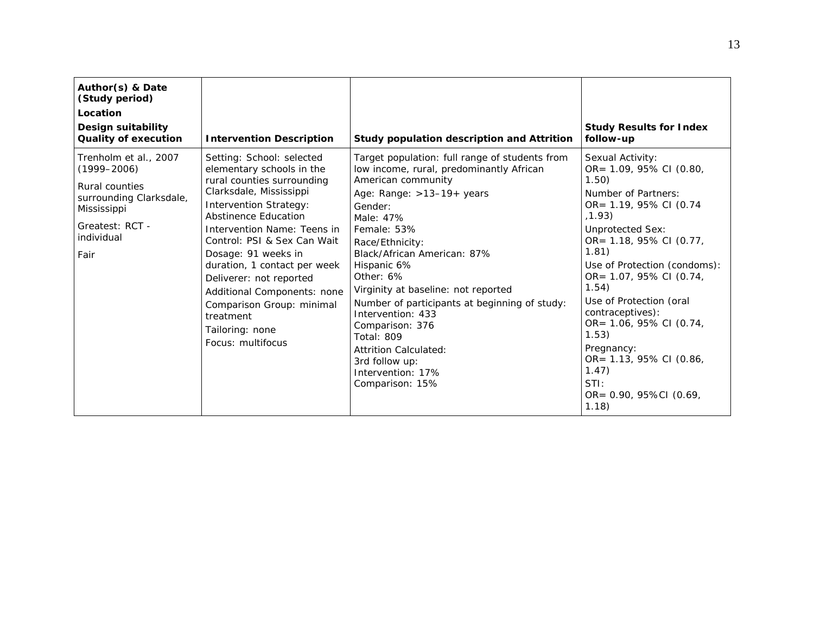| Author(s) & Date<br>(Study period)<br>Location<br>Design suitability<br><b>Quality of execution</b>                                           | <b>Intervention Description</b>                                                                                                                                                                                                                                                                                                                                                                                                                         | Study population description and Attrition                                                                                                                                                                                                                                                                                                                                                                                                                                                                   | <b>Study Results for Index</b><br>follow-up                                                                                                                                                                                                                                                                                                                                                                                               |
|-----------------------------------------------------------------------------------------------------------------------------------------------|---------------------------------------------------------------------------------------------------------------------------------------------------------------------------------------------------------------------------------------------------------------------------------------------------------------------------------------------------------------------------------------------------------------------------------------------------------|--------------------------------------------------------------------------------------------------------------------------------------------------------------------------------------------------------------------------------------------------------------------------------------------------------------------------------------------------------------------------------------------------------------------------------------------------------------------------------------------------------------|-------------------------------------------------------------------------------------------------------------------------------------------------------------------------------------------------------------------------------------------------------------------------------------------------------------------------------------------------------------------------------------------------------------------------------------------|
| Trenholm et al., 2007<br>$(1999 - 2006)$<br>Rural counties<br>surrounding Clarksdale,<br>Mississippi<br>Greatest: RCT -<br>individual<br>Fair | Setting: School: selected<br>elementary schools in the<br>rural counties surrounding<br>Clarksdale, Mississippi<br><b>Intervention Strategy:</b><br>Abstinence Education<br><i>Intervention Name: Teens in</i><br>Control: PSI & Sex Can Wait<br>Dosage: 91 weeks in<br>duration, 1 contact per week<br>Deliverer: not reported<br>Additional Components: none<br>Comparison Group: minimal<br>treatment<br>Tailoring: none<br><i>Focus:</i> multifocus | Target population: full range of students from<br>low income, rural, predominantly African<br>American community<br>Age: Range: $>13-19+$ years<br>Gender:<br>Male: 47%<br>Female: 53%<br>Race/Ethnicity:<br>Black/African American: 87%<br>Hispanic 6%<br>Other: 6%<br>Virginity at baseline: not reported<br>Number of participants at beginning of study:<br>Intervention: 433<br>Comparison: 376<br><b>Total: 809</b><br>Attrition Calculated:<br>3rd follow up:<br>Intervention: 17%<br>Comparison: 15% | Sexual Activity:<br>OR= 1.09, 95% CI (0.80,<br>1.50)<br>Number of Partners:<br>OR= 1.19, 95% CI (0.74<br>(1.93)<br><b>Unprotected Sex:</b><br>OR= 1.18, 95% CI (0.77,<br>1.81)<br>Use of Protection (condoms):<br>OR= 1.07, 95% CI (0.74,<br>1.54)<br>Use of Protection (oral<br>contraceptives):<br>OR= 1.06, 95% CI (0.74,<br>1.53)<br>Pregnancy:<br>OR= 1.13, 95% CI (0.86,<br>1.47)<br>$STl$ :<br>$OR = 0.90, 95\%CI (0.69)$<br>1.18) |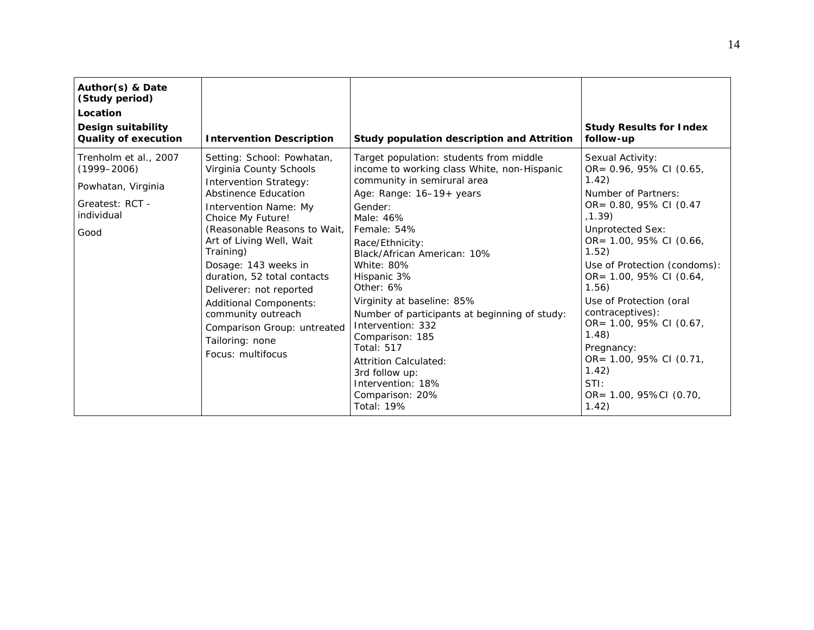| Author(s) & Date<br>(Study period)<br>Location<br>Design suitability<br><b>Quality of execution</b>     | <b>Intervention Description</b>                                                                                                                                                                                                                                                                                                                                                                                                                | Study population description and Attrition                                                                                                                                                                                                                                                                                                                                                                                                                                                                                        | <b>Study Results for Index</b><br>follow-up                                                                                                                                                                                                                                                                                                                                                                                           |
|---------------------------------------------------------------------------------------------------------|------------------------------------------------------------------------------------------------------------------------------------------------------------------------------------------------------------------------------------------------------------------------------------------------------------------------------------------------------------------------------------------------------------------------------------------------|-----------------------------------------------------------------------------------------------------------------------------------------------------------------------------------------------------------------------------------------------------------------------------------------------------------------------------------------------------------------------------------------------------------------------------------------------------------------------------------------------------------------------------------|---------------------------------------------------------------------------------------------------------------------------------------------------------------------------------------------------------------------------------------------------------------------------------------------------------------------------------------------------------------------------------------------------------------------------------------|
| Trenholm et al., 2007<br>$(1999 - 2006)$<br>Powhatan, Virginia<br>Greatest: RCT -<br>individual<br>Good | Setting: School: Powhatan,<br>Virginia County Schools<br><b>Intervention Strategy:</b><br>Abstinence Education<br>Intervention Name: My<br>Choice My Future!<br>(Reasonable Reasons to Wait,<br>Art of Living Well, Wait<br>Training)<br>Dosage: 143 weeks in<br>duration, 52 total contacts<br>Deliverer: not reported<br>Additional Components:<br>community outreach<br>Comparison Group: untreated<br>Tailoring: none<br>Focus: multifocus | Target population: students from middle<br>income to working class White, non-Hispanic<br>community in semirural area<br>Age: Range: 16-19+ years<br>Gender:<br>Male: 46%<br>Female: 54%<br>Race/Ethnicity:<br>Black/African American: 10%<br>White: 80%<br>Hispanic 3%<br>Other: 6%<br>Virginity at baseline: 85%<br>Number of participants at beginning of study:<br>Intervention: 332<br>Comparison: 185<br><b>Total: 517</b><br>Attrition Calculated:<br>3rd follow up:<br>Intervention: 18%<br>Comparison: 20%<br>Total: 19% | Sexual Activity:<br>OR= 0.96, 95% CI (0.65,<br>1.42)<br>Number of Partners:<br>OR= 0.80, 95% CI (0.47<br>, 1.39)<br><b>Unprotected Sex:</b><br>OR= 1.00, 95% CI (0.66,<br>1.52)<br>Use of Protection (condoms):<br>OR= 1.00, 95% CI (0.64,<br>1.56)<br>Use of Protection (oral<br>contraceptives):<br>OR= 1.00, 95% CI (0.67,<br>1.48<br>Pregnancy:<br>OR= 1.00, 95% CI (0.71,<br>1.42)<br>$STl$ :<br>OR= 1.00, 95%CI (0.70,<br>1.42) |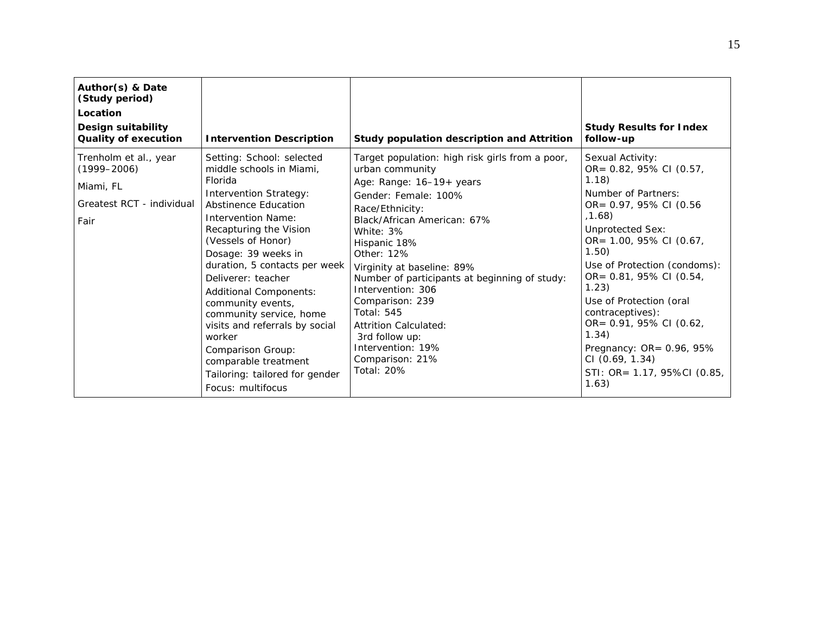| Author(s) & Date<br>(Study period)<br>Location<br>Design suitability<br><b>Quality of execution</b> | <b>Intervention Description</b>                                                                                                                                                                                                                                                                                                                                                                                                                                                                                | Study population description and Attrition                                                                                                                                                                                                                                                                                                                                                                                                                              | <b>Study Results for Index</b><br>follow-up                                                                                                                                                                                                                                                                                                                                                                                      |
|-----------------------------------------------------------------------------------------------------|----------------------------------------------------------------------------------------------------------------------------------------------------------------------------------------------------------------------------------------------------------------------------------------------------------------------------------------------------------------------------------------------------------------------------------------------------------------------------------------------------------------|-------------------------------------------------------------------------------------------------------------------------------------------------------------------------------------------------------------------------------------------------------------------------------------------------------------------------------------------------------------------------------------------------------------------------------------------------------------------------|----------------------------------------------------------------------------------------------------------------------------------------------------------------------------------------------------------------------------------------------------------------------------------------------------------------------------------------------------------------------------------------------------------------------------------|
| Trenholm et al., year<br>$(1999 - 2006)$<br>Miami, FL<br>Greatest RCT - individual<br>Fair          | Setting: School: selected<br>middle schools in Miami.<br>Florida<br><b>Intervention Strategy:</b><br>Abstinence Education<br>Intervention Name:<br>Recapturing the Vision<br>(Vessels of Honor)<br>Dosage: 39 weeks in<br>duration, 5 contacts per week<br>Deliverer: teacher<br>Additional Components:<br>community events,<br>community service, home<br>visits and referrals by social<br>worker<br>Comparison Group:<br>comparable treatment<br>Tailoring: tailored for gender<br><i>Focus:</i> multifocus | Target population: high risk girls from a poor,<br>urban community<br>Age: Range: 16-19+ years<br>Gender: Female: 100%<br>Race/Ethnicity:<br>Black/African American: 67%<br>White: 3%<br>Hispanic 18%<br>Other: 12%<br>Virginity at baseline: 89%<br>Number of participants at beginning of study:<br>Intervention: 306<br>Comparison: 239<br><b>Total: 545</b><br><b>Attrition Calculated:</b><br>3rd follow up:<br>Intervention: 19%<br>Comparison: 21%<br>Total: 20% | Sexual Activity:<br>OR= 0.82, 95% CI (0.57,<br>1.18)<br>Number of Partners:<br>OR= $0.97, 95\%$ CI (0.56<br>, 1.68)<br><b>Unprotected Sex:</b><br>OR= 1.00, 95% CI (0.67,<br>1.50)<br>Use of Protection (condoms):<br>OR= 0.81, 95% CI (0.54,<br>1.23)<br>Use of Protection (oral<br>contraceptives):<br>OR= 0.91, 95% CI (0.62,<br>1.34)<br>Pregnancy: OR= 0.96, 95%<br>CI (0.69, 1.34)<br>STI: OR= 1.17, 95%CI (0.85,<br>1.63) |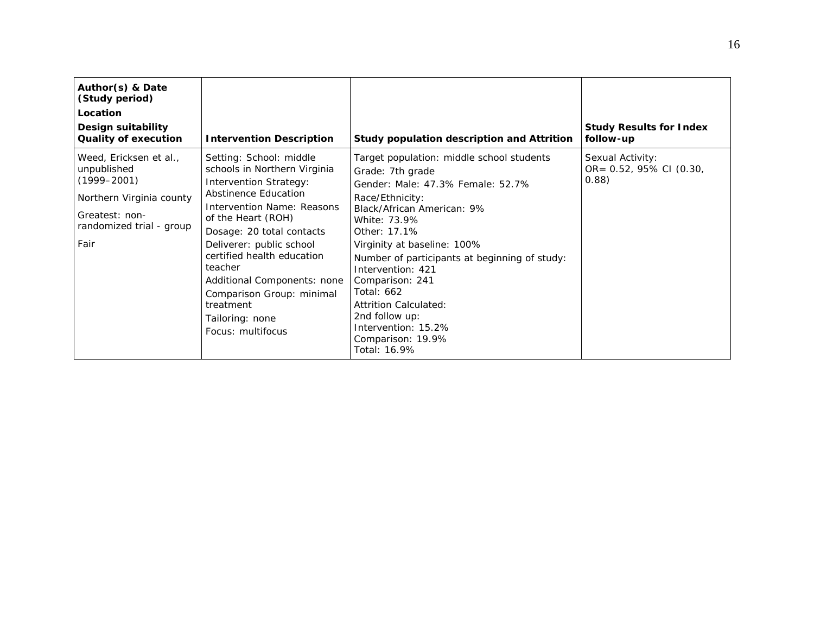| Author(s) & Date<br>(Study period)<br>Location<br>Design suitability<br><b>Quality of execution</b>                                        | <b>Intervention Description</b>                                                                                                                                                                                                                                                                                                                                                                | Study population description and Attrition                                                                                                                                                                                                                                                                                                                                                                                              | <b>Study Results for Index</b><br>follow-up          |
|--------------------------------------------------------------------------------------------------------------------------------------------|------------------------------------------------------------------------------------------------------------------------------------------------------------------------------------------------------------------------------------------------------------------------------------------------------------------------------------------------------------------------------------------------|-----------------------------------------------------------------------------------------------------------------------------------------------------------------------------------------------------------------------------------------------------------------------------------------------------------------------------------------------------------------------------------------------------------------------------------------|------------------------------------------------------|
| Weed, Ericksen et al.,<br>unpublished<br>$(1999 - 2001)$<br>Northern Virginia county<br>Greatest: non-<br>randomized trial - group<br>Fair | Setting: School: middle<br>schools in Northern Virginia<br><b>Intervention Strategy:</b><br>Abstinence Education<br>Intervention Name: Reasons<br>of the Heart (ROH)<br>Dosage: 20 total contacts<br>Deliverer: public school<br>certified health education<br>teacher<br>Additional Components: none<br>Comparison Group: minimal<br>treatment<br>Tailoring: none<br><i>Focus:</i> multifocus | Target population: middle school students<br>Grade: 7th grade<br>Gender: Male: 47.3% Female: 52.7%<br>Race/Ethnicity:<br>Black/African American: 9%<br>White: 73.9%<br>Other: 17.1%<br>Virginity at baseline: 100%<br>Number of participants at beginning of study:<br>Intervention: 421<br>Comparison: 241<br><b>Total: 662</b><br>Attrition Calculated:<br>2nd follow up:<br>Intervention: 15.2%<br>Comparison: 19.9%<br>Total: 16.9% | Sexual Activity:<br>OR= 0.52, 95% CI (0.30,<br>0.88) |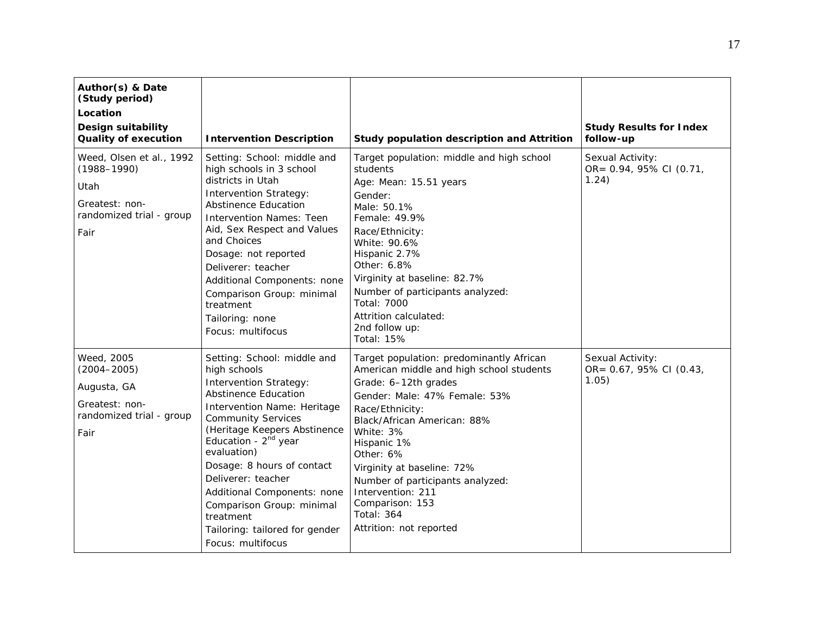| Author(s) & Date<br>(Study period)<br>Location<br>Design suitability<br><b>Quality of execution</b>       | <b>Intervention Description</b>                                                                                                                                                                                                                                                                                                                                                                                                                | Study population description and Attrition                                                                                                                                                                                                                                                                                                                                                         | <b>Study Results for Index</b><br>follow-up          |
|-----------------------------------------------------------------------------------------------------------|------------------------------------------------------------------------------------------------------------------------------------------------------------------------------------------------------------------------------------------------------------------------------------------------------------------------------------------------------------------------------------------------------------------------------------------------|----------------------------------------------------------------------------------------------------------------------------------------------------------------------------------------------------------------------------------------------------------------------------------------------------------------------------------------------------------------------------------------------------|------------------------------------------------------|
| Weed, Olsen et al., 1992<br>$(1988 - 1990)$<br>Utah<br>Greatest: non-<br>randomized trial - group<br>Fair | Setting: School: middle and<br>high schools in 3 school<br>districts in Utah<br><b>Intervention Strategy:</b><br><b>Abstinence Education</b><br><b>Intervention Names: Teen</b><br>Aid, Sex Respect and Values<br>and Choices<br>Dosage: not reported<br>Deliverer: teacher<br>Additional Components: none<br>Comparison Group: minimal<br>treatment<br>Tailoring: none<br>Focus: multifocus                                                   | Target population: middle and high school<br>students<br>Age: Mean: 15.51 years<br>Gender:<br>Male: 50.1%<br>Female: 49.9%<br>Race/Ethnicity:<br>White: 90.6%<br>Hispanic 2.7%<br>Other: 6.8%<br>Virginity at baseline: 82.7%<br>Number of participants analyzed:<br>Total: 7000<br>Attrition calculated:<br>2nd follow up:<br><b>Total: 15%</b>                                                   | Sexual Activity:<br>OR= 0.94, 95% CI (0.71,<br>1.24) |
| Weed, 2005<br>$(2004 - 2005)$<br>Augusta, GA<br>Greatest: non-<br>randomized trial - group<br>Fair        | Setting: School: middle and<br>high schools<br><b>Intervention Strategy:</b><br><b>Abstinence Education</b><br>Intervention Name: Heritage<br><b>Community Services</b><br>(Heritage Keepers Abstinence<br>Education - 2 <sup>nd</sup> year<br>evaluation)<br>Dosage: 8 hours of contact<br>Deliverer: teacher<br>Additional Components: none<br>Comparison Group: minimal<br>treatment<br>Tailoring: tailored for gender<br>Focus: multifocus | Target population: predominantly African<br>American middle and high school students<br>Grade: 6-12th grades<br>Gender: Male: 47% Female: 53%<br>Race/Ethnicity:<br>Black/African American: 88%<br>White: 3%<br>Hispanic 1%<br>Other: 6%<br>Virginity at baseline: 72%<br>Number of participants analyzed:<br>Intervention: 211<br>Comparison: 153<br><b>Total: 364</b><br>Attrition: not reported | Sexual Activity:<br>OR= 0.67, 95% CI (0.43,<br>1.05) |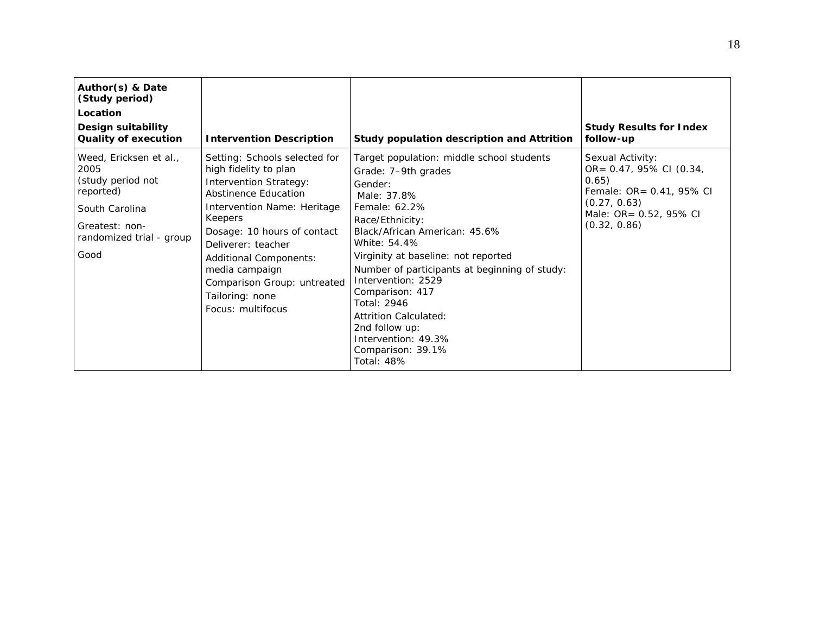| Author(s) & Date<br>(Study period)<br>Location<br>Design suitability<br><b>Quality of execution</b>                                      | <b>Intervention Description</b>                                                                                                                                                                                                                                                                                                                        | Study population description and Attrition                                                                                                                                                                                                                                                                                                                                                                                                  | <b>Study Results for Index</b><br>follow-up                                                                                                |
|------------------------------------------------------------------------------------------------------------------------------------------|--------------------------------------------------------------------------------------------------------------------------------------------------------------------------------------------------------------------------------------------------------------------------------------------------------------------------------------------------------|---------------------------------------------------------------------------------------------------------------------------------------------------------------------------------------------------------------------------------------------------------------------------------------------------------------------------------------------------------------------------------------------------------------------------------------------|--------------------------------------------------------------------------------------------------------------------------------------------|
| Weed, Ericksen et al.,<br>2005<br>(study period not<br>reported)<br>South Carolina<br>Greatest: non-<br>randomized trial - group<br>Good | Setting: Schools selected for<br>high fidelity to plan<br><b>Intervention Strategy:</b><br><b>Abstinence Education</b><br><i>Intervention Name:</i> Heritage<br>Keepers<br>Dosage: 10 hours of contact<br>Deliverer: teacher<br>Additional Components:<br>media campaign<br>Comparison Group: untreated<br>Tailoring: none<br><i>Focus:</i> multifocus | Target population: middle school students<br>Grade: 7-9th grades<br>Gender:<br>Male: 37.8%<br>Female: 62.2%<br>Race/Ethnicity:<br>Black/African American: 45.6%<br>White: 54.4%<br>Virginity at baseline: not reported<br>Number of participants at beginning of study:<br>Intervention: 2529<br>Comparison: 417<br>Total: 2946<br>Attrition Calculated:<br>2nd follow up:<br>Intervention: 49.3%<br>Comparison: 39.1%<br><b>Total: 48%</b> | Sexual Activity:<br>OR= 0.47, 95% CI (0.34,<br>0.65)<br>Female: OR= 0.41, 95% CI<br>(0.27, 0.63)<br>Male: OR= 0.52, 95% CI<br>(0.32, 0.86) |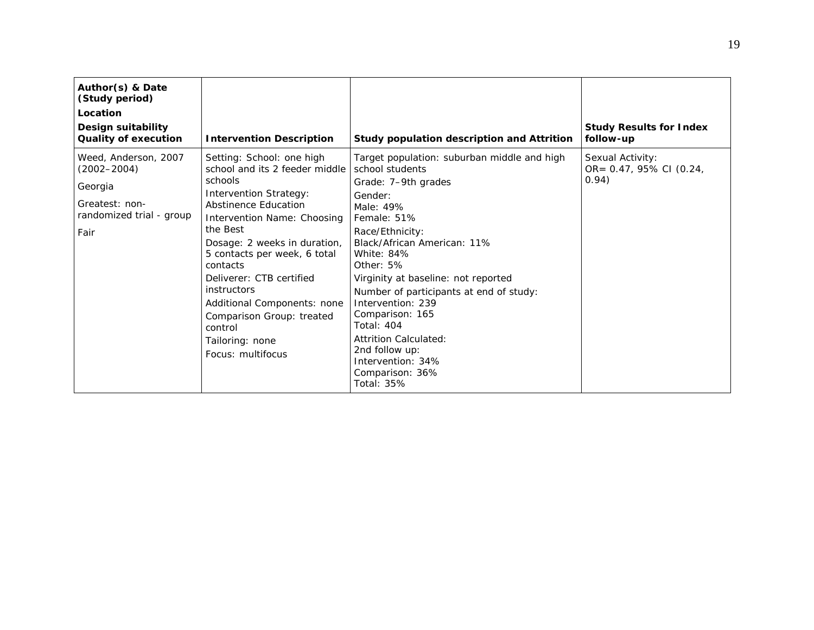| Author(s) & Date<br>(Study period)<br>Location<br>Design suitability                                     |                                                                                                                                                                                                                                                                                                                                                                                                                                |                                                                                                                                                                                                                                                                                                                                                                                                                                                                  | <b>Study Results for Index</b>                       |
|----------------------------------------------------------------------------------------------------------|--------------------------------------------------------------------------------------------------------------------------------------------------------------------------------------------------------------------------------------------------------------------------------------------------------------------------------------------------------------------------------------------------------------------------------|------------------------------------------------------------------------------------------------------------------------------------------------------------------------------------------------------------------------------------------------------------------------------------------------------------------------------------------------------------------------------------------------------------------------------------------------------------------|------------------------------------------------------|
| <b>Quality of execution</b>                                                                              | <b>Intervention Description</b>                                                                                                                                                                                                                                                                                                                                                                                                | Study population description and Attrition                                                                                                                                                                                                                                                                                                                                                                                                                       | follow-up                                            |
| Weed, Anderson, 2007<br>$(2002 - 2004)$<br>Georgia<br>Greatest: non-<br>randomized trial - group<br>Fair | Setting: School: one high<br>school and its 2 feeder middle<br>schools<br><b>Intervention Strategy:</b><br><b>Abstinence Education</b><br>Intervention Name: Choosing<br>the Best<br>Dosage: 2 weeks in duration,<br>5 contacts per week, 6 total<br>contacts<br>Deliverer: CTB certified<br>instructors<br>Additional Components: none<br>Comparison Group: treated<br>control<br>Tailoring: none<br><i>Focus:</i> multifocus | Target population: suburban middle and high<br>school students<br>Grade: 7-9th grades<br>Gender:<br>Male: 49%<br>Female: 51%<br>Race/Ethnicity:<br>Black/African American: 11%<br>White: 84%<br>Other: 5%<br>Virginity at baseline: not reported<br>Number of participants at end of study:<br>Intervention: 239<br>Comparison: 165<br><b>Total: 404</b><br>Attrition Calculated:<br>2nd follow up:<br>Intervention: 34%<br>Comparison: 36%<br><b>Total: 35%</b> | Sexual Activity:<br>OR= 0.47, 95% CI (0.24,<br>0.94) |